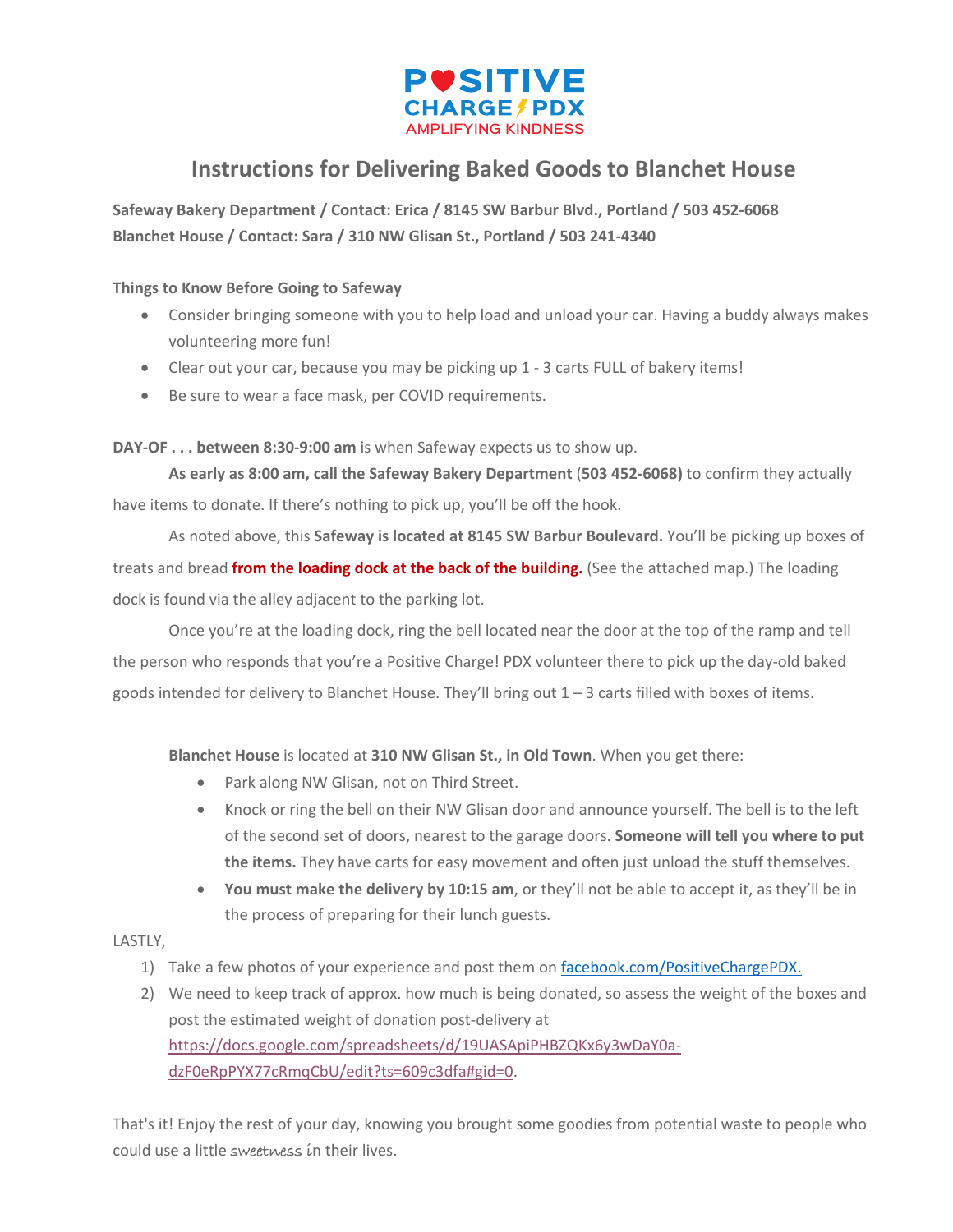

## **Instructions for Delivering Baked Goods to Blanchet House**

**Safeway Bakery Department / Contact: Erica / 8145 SW Barbur Blvd., Portland / 503 452-6068 Blanchet House / Contact: Sara / 310 NW Glisan St., Portland / 503 241-4340**

## **Things to Know Before Going to Safeway**

- Consider bringing someone with you to help load and unload your car. Having a buddy always makes volunteering more fun!
- Clear out your car, because you may be picking up 1 3 carts FULL of bakery items!
- Be sure to wear a face mask, per COVID requirements.

## **DAY-OF . . . between 8:30-9:00 am** is when Safeway expects us to show up.

**As early as 8:00 am, call the Safeway Bakery Department** (**503 452-6068)** to confirm they actually have items to donate. If there's nothing to pick up, you'll be off the hook.

As noted above, this **Safeway is located at 8145 SW Barbur Boulevard.** You'll be picking up boxes of treats and bread **from the loading dock at the back of the building.** (See the attached map.) The loading dock is found via the alley adjacent to the parking lot.

Once you're at the loading dock, ring the bell located near the door at the top of the ramp and tell the person who responds that you're a Positive Charge! PDX volunteer there to pick up the day-old baked goods intended for delivery to Blanchet House. They'll bring out 1 – 3 carts filled with boxes of items.

**Blanchet House** is located at **310 NW Glisan St., in Old Town**. When you get there:

- Park along NW Glisan, not on Third Street.
- Knock or ring the bell on their NW Glisan door and announce yourself. The bell is to the left of the second set of doors, nearest to the garage doors. **Someone will tell you where to put the items.** They have carts for easy movement and often just unload the stuff themselves.
- **You must make the delivery by 10:15 am**, or they'll not be able to accept it, as they'll be in the process of preparing for their lunch guests.

## LASTLY,

- 1) Take a few photos of your experience and post them on facebook.com/PositiveChargePDX.
- 2) We need to keep track of approx. how much is being donated, so assess the weight of the boxes and post the estimated weight of donation post-delivery at https://docs.google.com/spreadsheets/d/19UASApiPHBZQKx6y3wDaY0adzF0eRpPYX77cRmqCbU/edit?ts=609c3dfa#gid=0.

That's it! Enjoy the rest of your day, knowing you brought some goodies from potential waste to people who could use a little **sweetness i**n their lives.